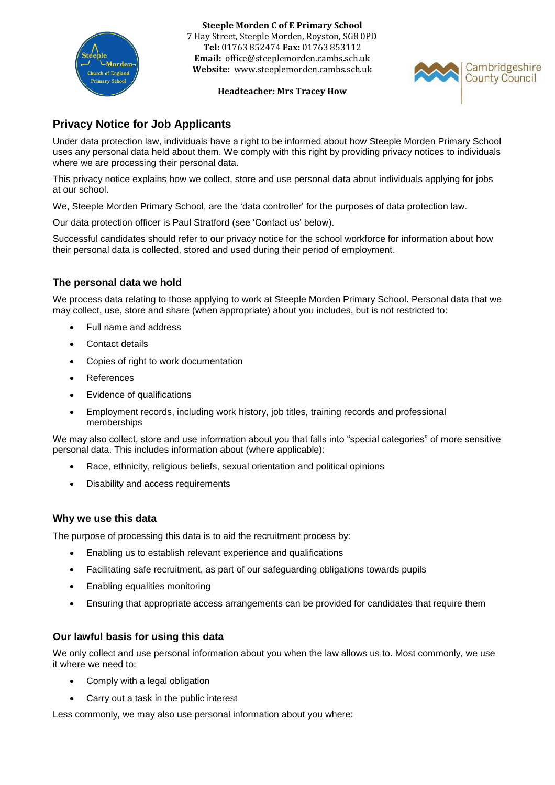

**Steeple Morden C of E Primary School** 7 Hay Street, Steeple Morden, Royston, SG8 0PD **Tel:** 01763 852474 **Fax:** 01763 853112 **Email:** office@steeplemorden.cambs.sch.uk **Website:** www.steeplemorden.cambs.sch.uk

#### **Headteacher: Mrs Tracey How**



# **Privacy Notice for Job Applicants**

Under data protection law, individuals have a right to be informed about how Steeple Morden Primary School uses any personal data held about them. We comply with this right by providing privacy notices to individuals where we are processing their personal data.

This privacy notice explains how we collect, store and use personal data about individuals applying for jobs at our school.

We, Steeple Morden Primary School, are the 'data controller' for the purposes of data protection law.

Our data protection officer is Paul Stratford (see 'Contact us' below).

Successful candidates should refer to our privacy notice for the school workforce for information about how their personal data is collected, stored and used during their period of employment.

# **The personal data we hold**

We process data relating to those applying to work at Steeple Morden Primary School. Personal data that we may collect, use, store and share (when appropriate) about you includes, but is not restricted to:

- Full name and address
- Contact details
- Copies of right to work documentation
- References
- Evidence of qualifications
- Employment records, including work history, job titles, training records and professional memberships

We may also collect, store and use information about you that falls into "special categories" of more sensitive personal data. This includes information about (where applicable):

- Race, ethnicity, religious beliefs, sexual orientation and political opinions
- Disability and access requirements

## **Why we use this data**

The purpose of processing this data is to aid the recruitment process by:

- Enabling us to establish relevant experience and qualifications
- Facilitating safe recruitment, as part of our safeguarding obligations towards pupils
- Enabling equalities monitoring
- Ensuring that appropriate access arrangements can be provided for candidates that require them

## **Our lawful basis for using this data**

We only collect and use personal information about you when the law allows us to. Most commonly, we use it where we need to:

- Comply with a legal obligation
- Carry out a task in the public interest

Less commonly, we may also use personal information about you where: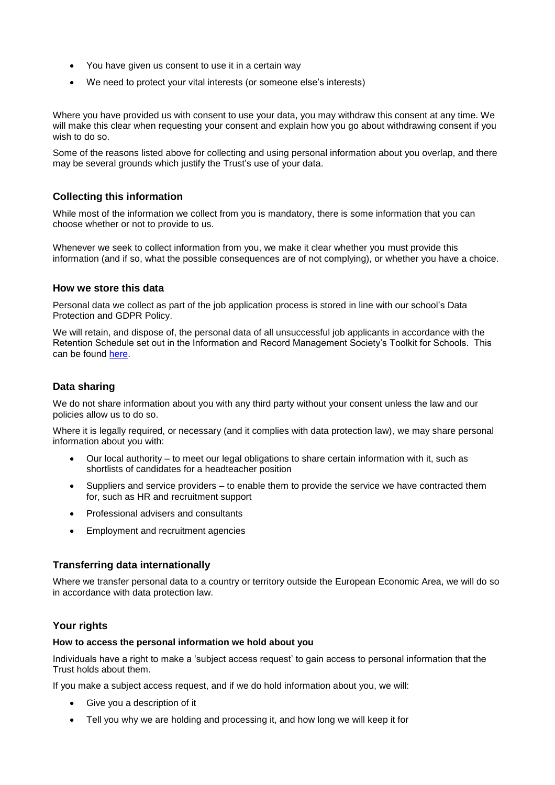- You have given us consent to use it in a certain way
- We need to protect your vital interests (or someone else's interests)

Where you have provided us with consent to use your data, you may withdraw this consent at any time. We will make this clear when requesting your consent and explain how you go about withdrawing consent if you wish to do so.

Some of the reasons listed above for collecting and using personal information about you overlap, and there may be several grounds which justify the Trust's use of your data.

# **Collecting this information**

While most of the information we collect from you is mandatory, there is some information that you can choose whether or not to provide to us.

Whenever we seek to collect information from you, we make it clear whether you must provide this information (and if so, what the possible consequences are of not complying), or whether you have a choice.

#### **How we store this data**

Personal data we collect as part of the job application process is stored in line with our school's Data Protection and GDPR Policy.

We will retain, and dispose of, the personal data of all unsuccessful job applicants in accordance with the Retention Schedule set out in the Information and Record Management Society's Toolkit for Schools. This can be found [here.](http://irms.org.uk/?page=schoolstoolkit&terms=%22toolkit+and+schools%22) 

# **Data sharing**

We do not share information about you with any third party without your consent unless the law and our policies allow us to do so.

Where it is legally required, or necessary (and it complies with data protection law), we may share personal information about you with:

- Our local authority to meet our legal obligations to share certain information with it, such as shortlists of candidates for a headteacher position
- Suppliers and service providers to enable them to provide the service we have contracted them for, such as HR and recruitment support
- Professional advisers and consultants
- Employment and recruitment agencies

## **Transferring data internationally**

Where we transfer personal data to a country or territory outside the European Economic Area, we will do so in accordance with data protection law.

## **Your rights**

#### **How to access the personal information we hold about you**

Individuals have a right to make a 'subject access request' to gain access to personal information that the Trust holds about them.

If you make a subject access request, and if we do hold information about you, we will:

- Give you a description of it
- Tell you why we are holding and processing it, and how long we will keep it for